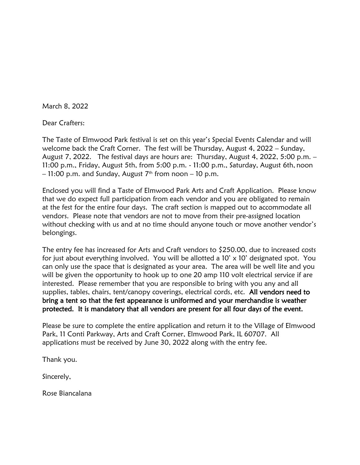March 8, 2022

Dear Crafters:

The Taste of Elmwood Park festival is set on this year's Special Events Calendar and will welcome back the Craft Corner. The fest will be Thursday, August 4, 2022 – Sunday, August 7, 2022. The festival days are hours are: Thursday, August 4, 2022, 5:00 p.m. – 11:00 p.m., Friday, August 5th, from 5:00 p.m. - 11:00 p.m., Saturday, August 6th, noon  $-$  11:00 p.m. and Sunday, August 7th from noon  $-$  10 p.m.

Enclosed you will find a Taste of Elmwood Park Arts and Craft Application. Please know that we do expect full participation from each vendor and you are obligated to remain at the fest for the entire four days. The craft section is mapped out to accommodate all vendors. Please note that vendors are not to move from their pre-assigned location without checking with us and at no time should anyone touch or move another vendor's belongings.

The entry fee has increased for Arts and Craft vendors to \$250.00, due to increased costs for just about everything involved. You will be allotted a  $10' \times 10'$  designated spot. You can only use the space that is designated as your area. The area will be well lite and you will be given the opportunity to hook up to one 20 amp 110 volt electrical service if are interested. Please remember that you are responsible to bring with you any and all supplies, tables, chairs, tent/canopy coverings, electrical cords, etc. All vendors need to bring a tent so that the fest appearance is uniformed and your merchandise is weather protected. It is mandatory that all vendors are present for all four days of the event.

Please be sure to complete the entire application and return it to the Village of Elmwood Park, 11 Conti Parkway, Arts and Craft Corner, Elmwood Park, IL 60707. All applications must be received by June 30, 2022 along with the entry fee.

Thank you.

Sincerely,

Rose Biancalana